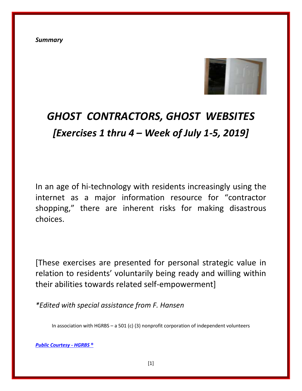*Summary*



# *GHOST CONTRACTORS, GHOST WEBSITES [Exercises 1 thru 4 – Week of July 1-5, 2019]*

In an age of hi-technology with residents increasingly using the internet as a major information resource for "contractor shopping," there are inherent risks for making disastrous choices.

[These exercises are presented for personal strategic value in relation to residents' voluntarily being ready and willing within their abilities towards related self-empowerment]

*\*Edited with special assistance from F. Hansen*

In association with HGRBS – a 501 (c) (3) nonprofit corporation of independent volunteers

*[Public Courtesy -](https://www.hgrbs-flagship.com/) HGRBS* **®**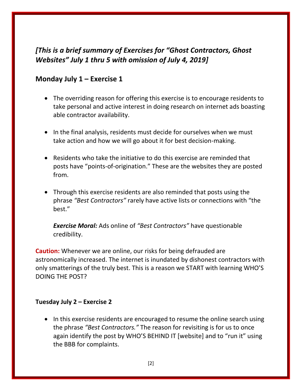## *[This is a brief summary of Exercises for "Ghost Contractors, Ghost Websites" July 1 thru 5 with omission of July 4, 2019]*

### **Monday July 1 – Exercise 1**

- The overriding reason for offering this exercise is to encourage residents to take personal and active interest in doing research on internet ads boasting able contractor availability.
- In the final analysis, residents must decide for ourselves when we must take action and how we will go about it for best decision-making.
- Residents who take the initiative to do this exercise are reminded that posts have "points-of-origination." These are the websites they are posted from.
- Through this exercise residents are also reminded that posts using the phrase *"Best Contractors"* rarely have active lists or connections with "the best."

*Exercise Moral:* Ads online of *"Best Contractors"* have questionable credibility.

**Caution:** Whenever we are online, our risks for being defrauded are astronomically increased. The internet is inundated by dishonest contractors with only smatterings of the truly best. This is a reason we START with learning WHO'S DOING THE POST?

#### **Tuesday July 2 – Exercise 2**

• In this exercise residents are encouraged to resume the online search using the phrase *"Best Contractors."* The reason for revisiting is for us to once again identify the post by WHO'S BEHIND IT [website] and to "run it" using the BBB for complaints.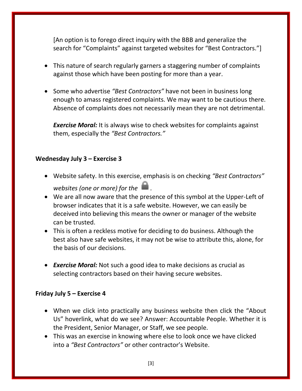[An option is to forego direct inquiry with the BBB and generalize the search for "Complaints" against targeted websites for "Best Contractors."]

- This nature of search regularly garners a staggering number of complaints against those which have been posting for more than a year.
- Some who advertise "Best Contractors" have not been in business long enough to amass registered complaints. We may want to be cautious there. Absence of complaints does not necessarily mean they are not detrimental.

**Exercise Moral:** It is always wise to check websites for complaints against them, especially the *"Best Contractors."*

#### **Wednesday July 3 – Exercise 3**

- Website safety. In this exercise, emphasis is on checking *"Best Contractors" websites (one or more) for the .*
- We are all now aware that the presence of this symbol at the Upper-Left of browser indicates that it is a safe website. However, we can easily be deceived into believing this means the owner or manager of the website can be trusted.
- This is often a reckless motive for deciding to do business. Although the best also have safe websites, it may not be wise to attribute this, alone, for the basis of our decisions.
- *Exercise Moral:* Not such a good idea to make decisions as crucial as selecting contractors based on their having secure websites.

#### **Friday July 5 – Exercise 4**

- When we click into practically any business website then click the "About Us" hoverlink, what do we see? Answer: Accountable People. Whether it is the President, Senior Manager, or Staff, we see people.
- This was an exercise in knowing where else to look once we have clicked into a *"Best Contractors"* or other contractor's Website.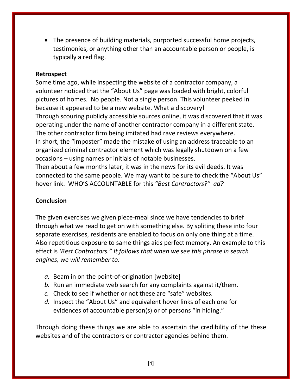The presence of building materials, purported successful home projects, testimonies, or anything other than an accountable person or people, is typically a red flag.

#### **Retrospect**

Some time ago, while inspecting the website of a contractor company, a volunteer noticed that the "About Us" page was loaded with bright, colorful pictures of homes. No people. Not a single person. This volunteer peeked in because it appeared to be a new website. What a discovery! Through scouring publicly accessible sources online, it was discovered that it was operating under the name of another contractor company in a different state. The other contractor firm being imitated had rave reviews everywhere. In short, the "imposter" made the mistake of using an address traceable to an organized criminal contractor element which was legally shutdown on a few occasions – using names or initials of notable businesses. Then about a few months later, it was in the news for its evil deeds. It was connected to the same people. We may want to be sure to check the "About Us"

#### **Conclusion**

The given exercises we given piece-meal since we have tendencies to brief through what we read to get on with something else. By spliting these into four separate exercises, residents are enabled to focus on only one thing at a time. Also repetitious exposure to same things aids perfect memory. An example to this effect is *'Best Contractors." It follows that when we see this phrase in search engines, we will remember to:*

- *a.* Beam in on the point-of-origination [website]
- *b.* Run an immediate web search for any complaints against it/them.
- *c.* Check to see if whether or not these are "safe" websites.

hover link. WHO'S ACCOUNTABLE for this *"Best Contractors?" ad?*

*d.* Inspect the "About Us" and equivalent hover links of each one for evidences of accountable person(s) or of persons "in hiding."

Through doing these things we are able to ascertain the credibility of the these websites and of the contractors or contractor agencies behind them.